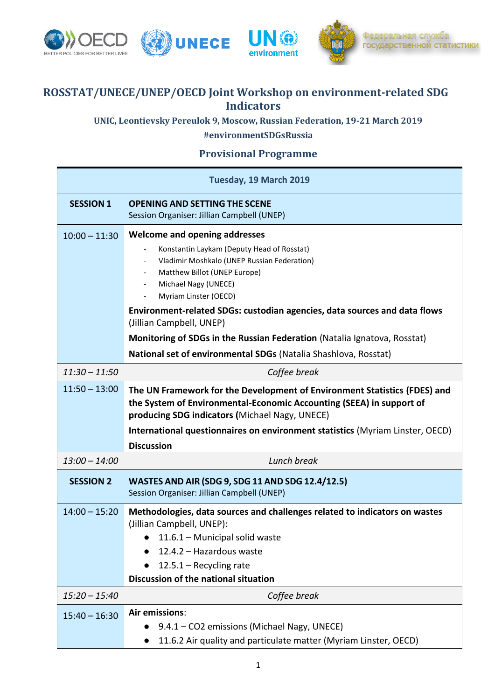

## **ROSSTAT/UNECE/UNEP/OECD Joint Workshop on environment-related SDG Indicators**

**UNIC, Leontievsky Pereulok 9, Moscow, Russian Federation, 19-21 March 2019 #environmentSDGsRussia**

## **Provisional Programme**

| Tuesday, 19 March 2019 |                                                                                                                                                                                                                                                                                                                                                                                                                                                                                                            |  |
|------------------------|------------------------------------------------------------------------------------------------------------------------------------------------------------------------------------------------------------------------------------------------------------------------------------------------------------------------------------------------------------------------------------------------------------------------------------------------------------------------------------------------------------|--|
| <b>SESSION 1</b>       | <b>OPENING AND SETTING THE SCENE</b><br>Session Organiser: Jillian Campbell (UNEP)                                                                                                                                                                                                                                                                                                                                                                                                                         |  |
| $10:00 - 11:30$        | <b>Welcome and opening addresses</b><br>Konstantin Laykam (Deputy Head of Rosstat)<br>$\qquad \qquad \blacksquare$<br>Vladimir Moshkalo (UNEP Russian Federation)<br>Matthew Billot (UNEP Europe)<br>Michael Nagy (UNECE)<br>Myriam Linster (OECD)<br>Environment-related SDGs: custodian agencies, data sources and data flows<br>(Jillian Campbell, UNEP)<br>Monitoring of SDGs in the Russian Federation (Natalia Ignatova, Rosstat)<br>National set of environmental SDGs (Natalia Shashlova, Rosstat) |  |
| $11:30 - 11:50$        | Coffee break                                                                                                                                                                                                                                                                                                                                                                                                                                                                                               |  |
| $11:50 - 13:00$        | The UN Framework for the Development of Environment Statistics (FDES) and<br>the System of Environmental-Economic Accounting (SEEA) in support of<br>producing SDG indicators (Michael Nagy, UNECE)<br>International questionnaires on environment statistics (Myriam Linster, OECD)<br><b>Discussion</b>                                                                                                                                                                                                  |  |
| $13:00 - 14:00$        | Lunch break                                                                                                                                                                                                                                                                                                                                                                                                                                                                                                |  |
| <b>SESSION 2</b>       | <b>WASTES AND AIR (SDG 9, SDG 11 AND SDG 12.4/12.5)</b><br>Session Organiser: Jillian Campbell (UNEP)                                                                                                                                                                                                                                                                                                                                                                                                      |  |
| $14:00 - 15:20$        | Methodologies, data sources and challenges related to indicators on wastes<br>(Jillian Campbell, UNEP):<br>$\bullet$ 11.6.1 – Municipal solid waste<br>12.4.2 - Hazardous waste<br>$12.5.1 - Recycling rate$<br>Discussion of the national situation                                                                                                                                                                                                                                                       |  |
| $15:20 - 15:40$        | Coffee break                                                                                                                                                                                                                                                                                                                                                                                                                                                                                               |  |
| $15:40 - 16:30$        | Air emissions:<br>9.4.1 - CO2 emissions (Michael Nagy, UNECE)<br>11.6.2 Air quality and particulate matter (Myriam Linster, OECD)                                                                                                                                                                                                                                                                                                                                                                          |  |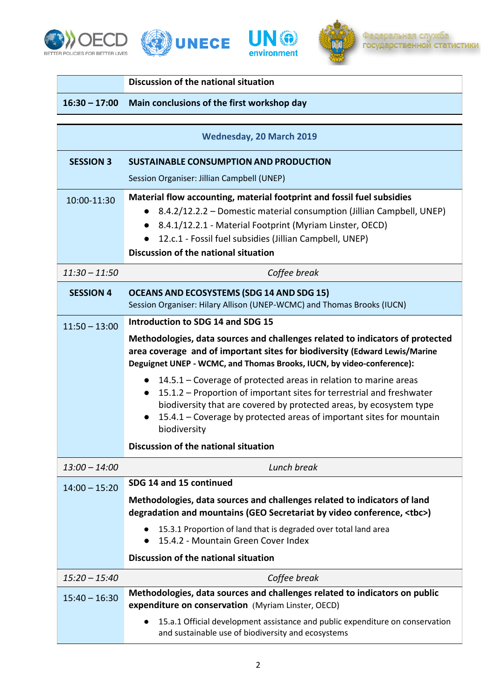







## **Discussion of the national situation**

## **16:30 – 17:00 Main conclusions of the first workshop day**

| <b>Wednesday, 20 March 2019</b> |                                                                                                                                                                                                                                                                                                                                    |
|---------------------------------|------------------------------------------------------------------------------------------------------------------------------------------------------------------------------------------------------------------------------------------------------------------------------------------------------------------------------------|
| <b>SESSION 3</b>                | <b>SUSTAINABLE CONSUMPTION AND PRODUCTION</b>                                                                                                                                                                                                                                                                                      |
|                                 | Session Organiser: Jillian Campbell (UNEP)                                                                                                                                                                                                                                                                                         |
| 10:00-11:30                     | Material flow accounting, material footprint and fossil fuel subsidies<br>8.4.2/12.2.2 – Domestic material consumption (Jillian Campbell, UNEP)<br>8.4.1/12.2.1 - Material Footprint (Myriam Linster, OECD)<br>12.c.1 - Fossil fuel subsidies (Jillian Campbell, UNEP)<br>Discussion of the national situation                     |
| $11:30 - 11:50$                 | Coffee break                                                                                                                                                                                                                                                                                                                       |
| <b>SESSION 4</b>                | <b>OCEANS AND ECOSYSTEMS (SDG 14 AND SDG 15)</b><br>Session Organiser: Hilary Allison (UNEP-WCMC) and Thomas Brooks (IUCN)                                                                                                                                                                                                         |
| $11:50 - 13:00$                 | Introduction to SDG 14 and SDG 15                                                                                                                                                                                                                                                                                                  |
|                                 | Methodologies, data sources and challenges related to indicators of protected<br>area coverage and of important sites for biodiversity (Edward Lewis/Marine<br>Deguignet UNEP - WCMC, and Thomas Brooks, IUCN, by video-conference):                                                                                               |
|                                 | 14.5.1 – Coverage of protected areas in relation to marine areas<br>$\bullet$<br>15.1.2 – Proportion of important sites for terrestrial and freshwater<br>$\bullet$<br>biodiversity that are covered by protected areas, by ecosystem type<br>15.4.1 – Coverage by protected areas of important sites for mountain<br>biodiversity |
|                                 | Discussion of the national situation                                                                                                                                                                                                                                                                                               |
| $13:00 - 14:00$                 | Lunch break                                                                                                                                                                                                                                                                                                                        |
| $14:00 - 15:20$                 | SDG 14 and 15 continued                                                                                                                                                                                                                                                                                                            |
|                                 | Methodologies, data sources and challenges related to indicators of land<br>degradation and mountains (GEO Secretariat by video conference, <tbc>)</tbc>                                                                                                                                                                           |
|                                 | 15.3.1 Proportion of land that is degraded over total land area<br>15.4.2 - Mountain Green Cover Index                                                                                                                                                                                                                             |
|                                 | Discussion of the national situation                                                                                                                                                                                                                                                                                               |
| $15:20 - 15:40$                 | Coffee break                                                                                                                                                                                                                                                                                                                       |
| $15:40 - 16:30$                 | Methodologies, data sources and challenges related to indicators on public<br>expenditure on conservation (Myriam Linster, OECD)                                                                                                                                                                                                   |
|                                 | 15.a.1 Official development assistance and public expenditure on conservation<br>and sustainable use of biodiversity and ecosystems                                                                                                                                                                                                |